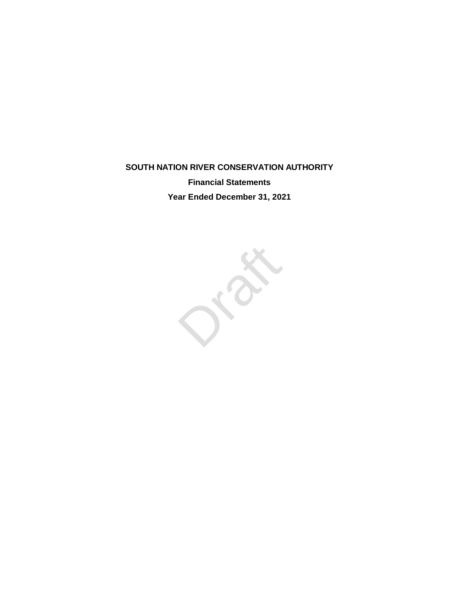## **SOUTH NATION RIVER CONSERVATION AUTHORITY Financial Statements**

**Year Ended December 31, 2021**

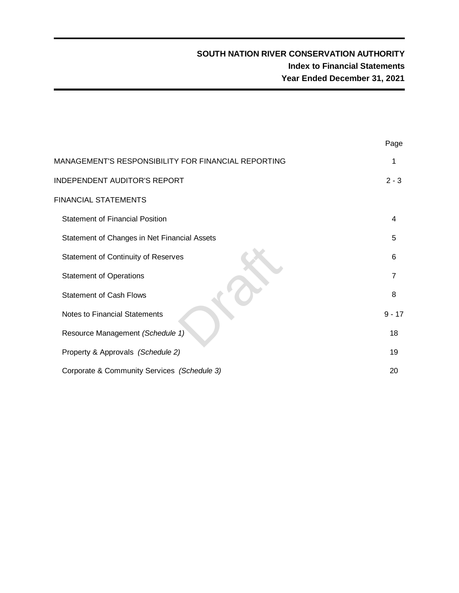## **SOUTH NATION RIVER CONSERVATION AUTHORITY Index to Financial Statements Year Ended December 31, 2021**

|                                                     | Page     |
|-----------------------------------------------------|----------|
| MANAGEMENT'S RESPONSIBILITY FOR FINANCIAL REPORTING | 1        |
| INDEPENDENT AUDITOR'S REPORT                        | $2 - 3$  |
| <b>FINANCIAL STATEMENTS</b>                         |          |
| <b>Statement of Financial Position</b>              | 4        |
| Statement of Changes in Net Financial Assets        | 5        |
| <b>Statement of Continuity of Reserves</b>          | 6        |
| <b>Statement of Operations</b>                      | 7        |
| <b>Statement of Cash Flows</b>                      | 8        |
| <b>Notes to Financial Statements</b>                | $9 - 17$ |
| Resource Management (Schedule 1)                    | 18       |
| Property & Approvals (Schedule 2)                   | 19       |
| Corporate & Community Services (Schedule 3)         | 20       |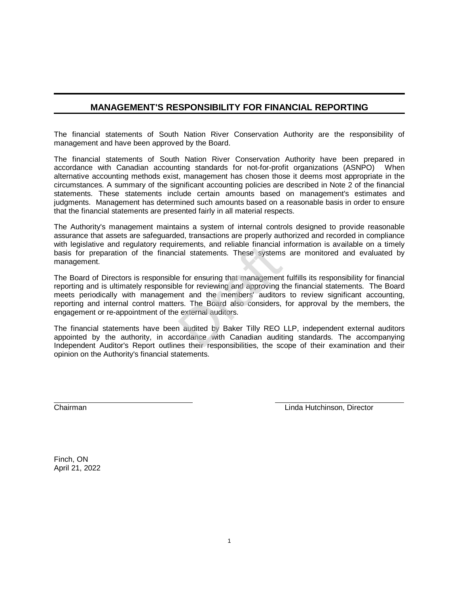### **MANAGEMENT'S RESPONSIBILITY FOR FINANCIAL REPORTING**

The financial statements of South Nation River Conservation Authority are the responsibility of management and have been approved by the Board.

The financial statements of South Nation River Conservation Authority have been prepared in accordance with Canadian accounting standards for not-for-profit organizations (ASNPO) When alternative accounting methods exist, management has chosen those it deems most appropriate in the circumstances. A summary of the significant accounting policies are described in Note 2 of the financial statements. These statements include certain amounts based on management's estimates and judgments. Management has determined such amounts based on a reasonable basis in order to ensure that the financial statements are presented fairly in all material respects.

The Authority's management maintains a system of internal controls designed to provide reasonable assurance that assets are safeguarded, transactions are properly authorized and recorded in compliance with legislative and regulatory requirements, and reliable financial information is available on a timely basis for preparation of the financial statements. These systems are monitored and evaluated by management.

The Board of Directors is responsible for ensuring that management fulfills its responsibility for financial reporting and is ultimately responsible for reviewing and approving the financial statements. The Board meets periodically with management and the members' auditors to review significant accounting, reporting and internal control matters. The Board also considers, for approval by the members, the engagement or re-appointment of the external auditors. Fernents, and reliable linancial<br>cial statements. These systems<br>e for ensuring that management<br>le for reviewing and approving t<br>ent and the members' auditors<br>rs. The Board also considers,<br>external auditors.<br>a audited by Ba

The financial statements have been audited by Baker Tilly REO LLP, independent external auditors appointed by the authority, in accordance with Canadian auditing standards. The accompanying Independent Auditor's Report outlines their responsibilities, the scope of their examination and their opinion on the Authority's financial statements.

Chairman Linda Hutchinson, Director

Finch, ON April 21, 2022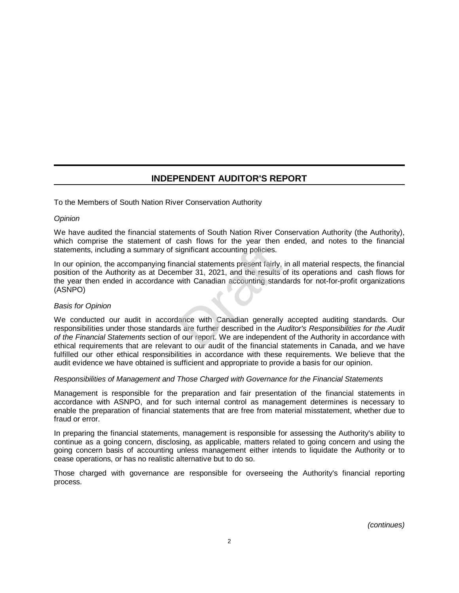## **INDEPENDENT AUDITOR'S REPORT**

#### To the Members of South Nation River Conservation Authority

#### *Opinion*

We have audited the financial statements of South Nation River Conservation Authority (the Authority), which comprise the statement of cash flows for the year then ended, and notes to the financial statements, including a summary of significant accounting policies.

In our opinion, the accompanying financial statements present fairly, in all material respects, the financial position of the Authority as at December 31, 2021, and the results of its operations and cash flows for the year then ended in accordance with Canadian accounting standards for not-for-profit organizations (ASNPO) significant accounting policies.<br>
ancial statements present fairly,<br>
mber 31, 2021, and the results<br>
with Canadian accounting stand<br>
with Canadian accounting stand<br>
dance with Canadian generally<br>
s are further described in

#### *Basis for Opinion*

We conducted our audit in accordance with Canadian generally accepted auditing standards. Our responsibilities under those standards are further described in the *Auditor's Responsibilities for the Audit of the Financial Statements* section of our report. We are independent of the Authority in accordance with ethical requirements that are relevant to our audit of the financial statements in Canada, and we have fulfilled our other ethical responsibilities in accordance with these requirements. We believe that the audit evidence we have obtained is sufficient and appropriate to provide a basis for our opinion.

#### *Responsibilities of Management and Those Charged with Governance for the Financial Statements*

Management is responsible for the preparation and fair presentation of the financial statements in accordance with ASNPO, and for such internal control as management determines is necessary to enable the preparation of financial statements that are free from material misstatement, whether due to fraud or error.

In preparing the financial statements, management is responsible for assessing the Authority's ability to continue as a going concern, disclosing, as applicable, matters related to going concern and using the going concern basis of accounting unless management either intends to liquidate the Authority or to cease operations, or has no realistic alternative but to do so.

Those charged with governance are responsible for overseeing the Authority's financial reporting process.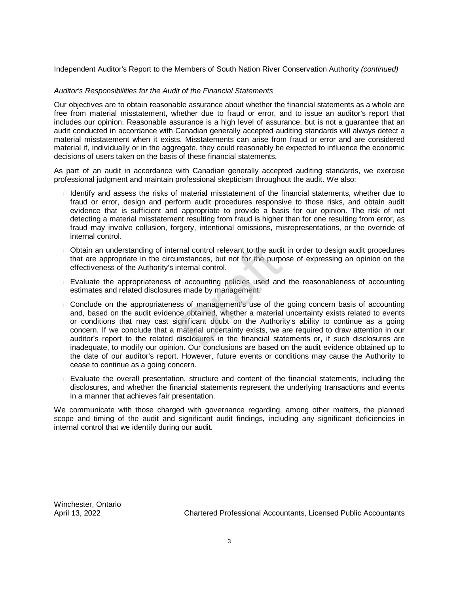Independent Auditor's Report to the Members of South Nation River Conservation Authority *(continued)*

#### *Auditor's Responsibilities for the Audit of the Financial Statements*

Our objectives are to obtain reasonable assurance about whether the financial statements as a whole are free from material misstatement, whether due to fraud or error, and to issue an auditor's report that includes our opinion. Reasonable assurance is a high level of assurance, but is not a guarantee that an audit conducted in accordance with Canadian generally accepted auditing standards will always detect a material misstatement when it exists. Misstatements can arise from fraud or error and are considered material if, individually or in the aggregate, they could reasonably be expected to influence the economic decisions of users taken on the basis of these financial statements.

As part of an audit in accordance with Canadian generally accepted auditing standards, we exercise professional judgment and maintain professional skepticism throughout the audit. We also:

- <sup>l</sup> Identify and assess the risks of material misstatement of the financial statements, whether due to fraud or error, design and perform audit procedures responsive to those risks, and obtain audit evidence that is sufficient and appropriate to provide a basis for our opinion. The risk of not detecting a material misstatement resulting from fraud is higher than for one resulting from error, as fraud may involve collusion, forgery, intentional omissions, misrepresentations, or the override of internal control.
- <sup>l</sup> Obtain an understanding of internal control relevant to the audit in order to design audit procedures that are appropriate in the circumstances, but not for the purpose of expressing an opinion on the effectiveness of the Authority's internal control.
- <sup>l</sup> Evaluate the appropriateness of accounting policies used and the reasonableness of accounting estimates and related disclosures made by management.
- <sup>l</sup> Conclude on the appropriateness of management's use of the going concern basis of accounting and, based on the audit evidence obtained, whether a material uncertainty exists related to events or conditions that may cast significant doubt on the Authority's ability to continue as a going concern. If we conclude that a material uncertainty exists, we are required to draw attention in our auditor's report to the related disclosures in the financial statements or, if such disclosures are inadequate, to modify our opinion. Our conclusions are based on the audit evidence obtained up to the date of our auditor's report. However, future events or conditions may cause the Authority to cease to continue as a going concern. rnal control relevant to the audi-<br>
imstances, but not for the purporternal control.<br>
of accounting policies used and<br>
smade by management.<br>
ss of management's use of the<br>
ce obtained, whether a material<br>
ignificant doubt
- <sup>l</sup> Evaluate the overall presentation, structure and content of the financial statements, including the disclosures, and whether the financial statements represent the underlying transactions and events in a manner that achieves fair presentation.

We communicate with those charged with governance regarding, among other matters, the planned scope and timing of the audit and significant audit findings, including any significant deficiencies in internal control that we identify during our audit.

Winchester, Ontario

April 13, 2022 Chartered Professional Accountants, Licensed Public Accountants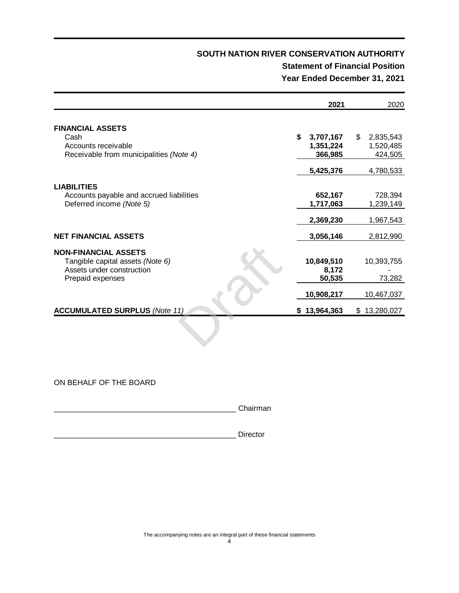### **Statement of Financial Position Year Ended December 31, 2021**

|                                                                                              | 2021                 | 2020                 |
|----------------------------------------------------------------------------------------------|----------------------|----------------------|
| <b>FINANCIAL ASSETS</b><br>Cash                                                              | \$<br>3,707,167      | \$<br>2,835,543      |
| Accounts receivable                                                                          | 1,351,224            | 1,520,485            |
| Receivable from municipalities (Note 4)                                                      | 366,985              | 424,505              |
|                                                                                              | 5,425,376            | 4,780,533            |
| <b>LIABILITIES</b><br>Accounts payable and accrued liabilities                               | 652,167              | 728,394              |
| Deferred income (Note 5)                                                                     | 1,717,063            | 1,239,149            |
|                                                                                              | 2,369,230            | 1,967,543            |
| <b>NET FINANCIAL ASSETS</b>                                                                  | 3,056,146            | 2,812,990            |
| <b>NON-FINANCIAL ASSETS</b><br>Tangible capital assets (Note 6)<br>Assets under construction | 10,849,510<br>8,172  | 10,393,755           |
| Prepaid expenses                                                                             | 50,535<br>10,908,217 | 73,282<br>10,467,037 |
| <b>ACCUMULATED SURPLUS (Note 11)</b>                                                         | \$13,964,363         | \$13,280,027         |
|                                                                                              |                      |                      |
|                                                                                              |                      |                      |

ON BEHALF OF THE BOARD

\_\_\_\_\_\_\_\_\_\_\_\_\_\_\_\_\_\_\_\_\_\_\_\_\_\_\_\_\_\_\_\_\_\_\_\_\_\_\_\_\_\_\_\_ Chairman

\_\_\_\_\_\_\_\_\_\_\_\_\_\_\_\_\_\_\_\_\_\_\_\_\_\_\_\_\_\_\_\_\_\_\_\_\_\_\_\_\_\_\_\_ Director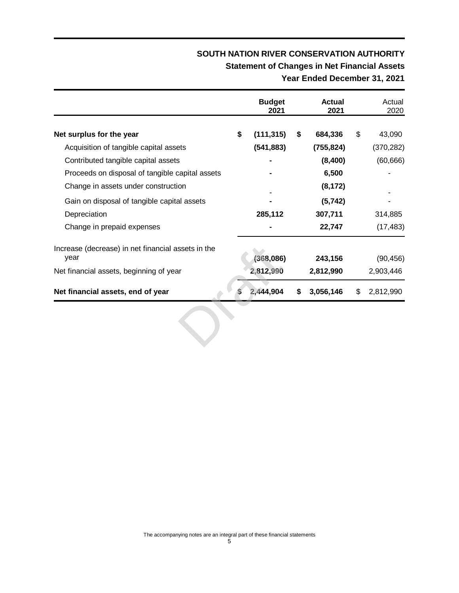# **Statement of Changes in Net Financial Assets**

## **Year Ended December 31, 2021**

|                                                            | <b>Budget</b><br>2021 | <b>Actual</b><br>2021 | Actual<br>2020  |
|------------------------------------------------------------|-----------------------|-----------------------|-----------------|
| Net surplus for the year                                   | \$<br>(111, 315)      | \$<br>684,336         | \$<br>43,090    |
| Acquisition of tangible capital assets                     | (541, 883)            | (755, 824)            | (370, 282)      |
| Contributed tangible capital assets                        |                       | (8,400)               | (60, 666)       |
| Proceeds on disposal of tangible capital assets            |                       | 6,500                 |                 |
| Change in assets under construction                        |                       | (8, 172)              |                 |
| Gain on disposal of tangible capital assets                |                       | (5, 742)              |                 |
| Depreciation                                               | 285,112               | 307,711               | 314,885         |
| Change in prepaid expenses                                 |                       | 22,747                | (17, 483)       |
| Increase (decrease) in net financial assets in the<br>year | (368, 086)            | 243,156               | (90, 456)       |
| Net financial assets, beginning of year                    | 2,812,990             | 2,812,990             | 2,903,446       |
| Net financial assets, end of year                          | 2,444,904             | \$<br>3,056,146       | \$<br>2,812,990 |
|                                                            |                       |                       |                 |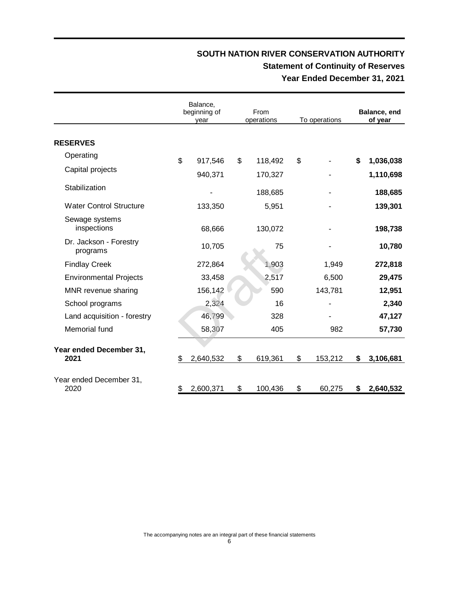## **SOUTH NATION RIVER CONSERVATION AUTHORITY Statement of Continuity of Reserves Year Ended December 31, 2021**

|                                    | Balance,<br>beginning of<br>vear |    | From<br>operations | To operations |         | Balance, end<br>of year |
|------------------------------------|----------------------------------|----|--------------------|---------------|---------|-------------------------|
| <b>RESERVES</b>                    |                                  |    |                    |               |         |                         |
| Operating                          | \$<br>917,546                    | \$ | 118,492            | \$            |         | \$<br>1,036,038         |
| Capital projects                   | 940,371                          |    | 170,327            |               |         | 1,110,698               |
| Stabilization                      |                                  |    | 188,685            |               |         | 188,685                 |
| <b>Water Control Structure</b>     | 133,350                          |    | 5,951              |               |         | 139,301                 |
| Sewage systems<br>inspections      | 68,666                           |    | 130,072            |               |         | 198,738                 |
| Dr. Jackson - Forestry<br>programs | 10,705                           |    | 75                 |               |         | 10,780                  |
| <b>Findlay Creek</b>               | 272,864                          |    | 1,903              |               | 1,949   | 272,818                 |
| <b>Environmental Projects</b>      | 33,458                           |    | 2,517              |               | 6,500   | 29,475                  |
| MNR revenue sharing                | 156,142                          |    | 590                |               | 143,781 | 12,951                  |
| School programs                    | 2,324                            |    | 16                 |               |         | 2,340                   |
| Land acquisition - forestry        | 46,799                           |    | 328                |               |         | 47,127                  |
| Memorial fund                      | 58,307                           |    | 405                |               | 982     | 57,730                  |
| Year ended December 31,<br>2021    | \$<br>2,640,532                  | \$ | 619,361            | \$            | 153,212 | \$<br>3,106,681         |
| Year ended December 31,<br>2020    | \$<br>2,600,371                  | \$ | 100,436            | \$            | 60,275  | \$<br>2,640,532         |

The accompanying notes are an integral part of these financial statements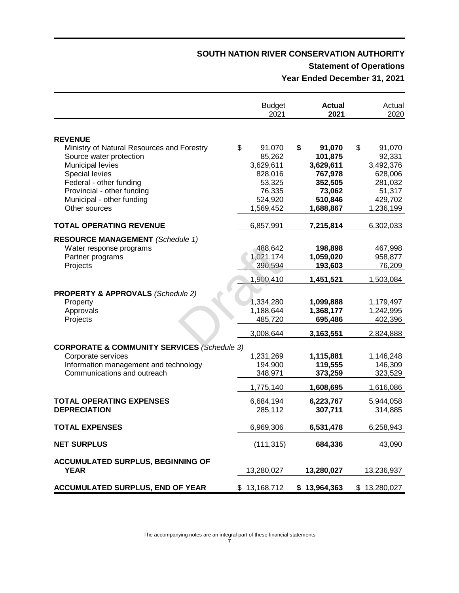# **Statement of Operations**

**Year Ended December 31, 2021**

|                                                                                                                                                                                                                                             | <b>Budget</b><br><b>Actual</b><br>2021<br>2021                                             |    | Actual<br>2020                                                                         |                                                                                             |
|---------------------------------------------------------------------------------------------------------------------------------------------------------------------------------------------------------------------------------------------|--------------------------------------------------------------------------------------------|----|----------------------------------------------------------------------------------------|---------------------------------------------------------------------------------------------|
| <b>REVENUE</b><br>Ministry of Natural Resources and Forestry<br>Source water protection<br><b>Municipal levies</b><br>Special levies<br>Federal - other funding<br>Provincial - other funding<br>Municipal - other funding<br>Other sources | \$<br>91,070<br>85,262<br>3,629,611<br>828,016<br>53,325<br>76,335<br>524,920<br>1,569,452 | \$ | 91,070<br>101,875<br>3,629,611<br>767,978<br>352,505<br>73,062<br>510,846<br>1,688,867 | \$<br>91,070<br>92,331<br>3,492,376<br>628,006<br>281,032<br>51,317<br>429,702<br>1,236,199 |
| <b>TOTAL OPERATING REVENUE</b>                                                                                                                                                                                                              | 6,857,991                                                                                  |    | 7,215,814                                                                              | 6,302,033                                                                                   |
| <b>RESOURCE MANAGEMENT</b> (Schedule 1)<br>Water response programs<br>Partner programs<br>Projects                                                                                                                                          | 488,642<br>1,021,174<br>390,594<br>1,900,410                                               |    | 198,898<br>1,059,020<br>193,603<br>1,451,521                                           | 467,998<br>958,877<br>76,209<br>1,503,084                                                   |
| <b>PROPERTY &amp; APPROVALS (Schedule 2)</b><br>Property<br>Approvals<br>Projects                                                                                                                                                           | 1,334,280<br>1,188,644<br>485,720                                                          |    | 1,099,888<br>1,368,177<br>695,486                                                      | 1,179,497<br>1,242,995<br>402,396                                                           |
| <b>CORPORATE &amp; COMMUNITY SERVICES (Schedule 3)</b><br>Corporate services<br>Information management and technology<br>Communications and outreach                                                                                        | 3,008,644<br>1,231,269<br>194,900<br>348,971<br>1,775,140                                  |    | 3,163,551<br>1,115,881<br>119,555<br>373,259<br>1,608,695                              | 2,824,888<br>1,146,248<br>146,309<br>323,529<br>1,616,086                                   |
| <b>TOTAL OPERATING EXPENSES</b><br><b>DEPRECIATION</b>                                                                                                                                                                                      | 6,684,194<br>285,112                                                                       |    | 6,223,767<br>307,711                                                                   | 5,944,058<br>314,885                                                                        |
| <b>TOTAL EXPENSES</b>                                                                                                                                                                                                                       | 6,969,306                                                                                  |    | 6,531,478                                                                              | 6,258,943                                                                                   |
| <b>NET SURPLUS</b>                                                                                                                                                                                                                          | (111, 315)                                                                                 |    | 684,336                                                                                | 43,090                                                                                      |
| <b>ACCUMULATED SURPLUS, BEGINNING OF</b><br><b>YEAR</b>                                                                                                                                                                                     | 13,280,027                                                                                 |    | 13,280,027                                                                             | 13,236,937                                                                                  |
| <b>ACCUMULATED SURPLUS, END OF YEAR</b>                                                                                                                                                                                                     | \$13,168,712                                                                               |    | \$13,964,363                                                                           | \$13,280,027                                                                                |

The accompanying notes are an integral part of these financial statements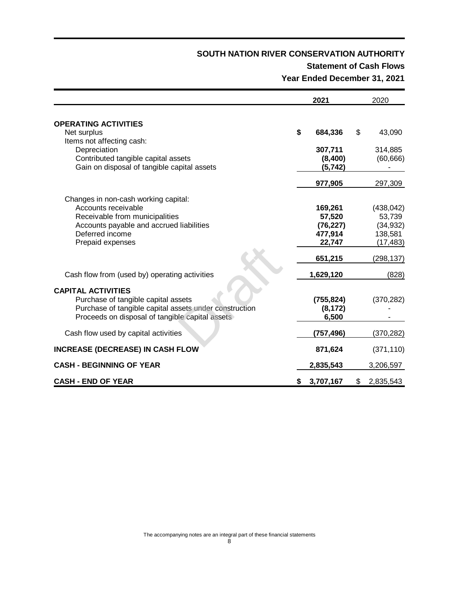### **Statement of Cash Flows Year Ended December 31, 2021**

|                                                                                                                                                                                  | 2021                                                | 2020                                                      |
|----------------------------------------------------------------------------------------------------------------------------------------------------------------------------------|-----------------------------------------------------|-----------------------------------------------------------|
| <b>OPERATING ACTIVITIES</b><br>Net surplus                                                                                                                                       | \$<br>684,336                                       | \$<br>43,090                                              |
| Items not affecting cash:<br>Depreciation<br>Contributed tangible capital assets<br>Gain on disposal of tangible capital assets                                                  | 307,711<br>(8,400)<br>(5, 742)                      | 314,885<br>(60, 666)                                      |
|                                                                                                                                                                                  | 977,905                                             | 297,309                                                   |
| Changes in non-cash working capital:<br>Accounts receivable<br>Receivable from municipalities<br>Accounts payable and accrued liabilities<br>Deferred income<br>Prepaid expenses | 169,261<br>57,520<br>(76, 227)<br>477,914<br>22,747 | (438, 042)<br>53,739<br>(34, 932)<br>138,581<br>(17, 483) |
|                                                                                                                                                                                  | 651,215                                             | (298, 137)                                                |
| Cash flow from (used by) operating activities                                                                                                                                    | 1,629,120                                           | (828)                                                     |
| <b>CAPITAL ACTIVITIES</b><br>Purchase of tangible capital assets<br>Purchase of tangible capital assets under construction<br>Proceeds on disposal of tangible capital assets    | (755, 824)<br>(8, 172)<br>6,500                     | (370, 282)                                                |
| Cash flow used by capital activities                                                                                                                                             | (757,496)                                           | (370,282)                                                 |
| <b>INCREASE (DECREASE) IN CASH FLOW</b>                                                                                                                                          | 871,624                                             | (371, 110)                                                |
| <b>CASH - BEGINNING OF YEAR</b>                                                                                                                                                  | 2,835,543                                           | 3,206,597                                                 |
| <b>CASH - END OF YEAR</b>                                                                                                                                                        | \$<br>3,707,167                                     | \$<br>2,835,543                                           |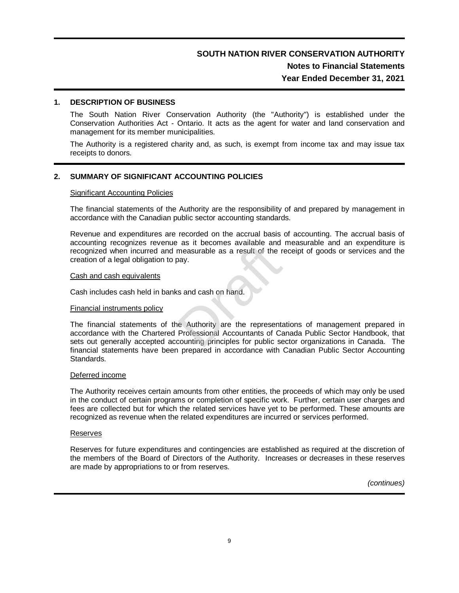### **Notes to Financial Statements Year Ended December 31, 2021**

#### **1. DESCRIPTION OF BUSINESS**

The South Nation River Conservation Authority (the "Authority") is established under the Conservation Authorities Act - Ontario. It acts as the agent for water and land conservation and management for its member municipalities.

The Authority is a registered charity and, as such, is exempt from income tax and may issue tax receipts to donors.

#### **2. SUMMARY OF SIGNIFICANT ACCOUNTING POLICIES**

#### **Significant Accounting Policies**

The financial statements of the Authority are the responsibility of and prepared by management in accordance with the Canadian public sector accounting standards.

Revenue and expenditures are recorded on the accrual basis of accounting. The accrual basis of accounting recognizes revenue as it becomes available and measurable and an expenditure is recognized when incurred and measurable as a result of the receipt of goods or services and the creation of a legal obligation to pay.

#### Cash and cash equivalents

Cash includes cash held in banks and cash on hand.

#### Financial instruments policy

The financial statements of the Authority are the representations of management prepared in accordance with the Chartered Professional Accountants of Canada Public Sector Handbook, that sets out generally accepted accounting principles for public sector organizations in Canada. The financial statements have been prepared in accordance with Canadian Public Sector Accounting Standards. France as a result of the reasonable and<br>measurable as a result of the reasonal<br>same and cash on hand.<br>The Authority are the representation of Categorian Accountants of Categorian

#### Deferred income

The Authority receives certain amounts from other entities, the proceeds of which may only be used in the conduct of certain programs or completion of specific work. Further, certain user charges and fees are collected but for which the related services have yet to be performed. These amounts are recognized as revenue when the related expenditures are incurred or services performed.

#### Reserves

Reserves for future expenditures and contingencies are established as required at the discretion of the members of the Board of Directors of the Authority. Increases or decreases in these reserves are made by appropriations to or from reserves.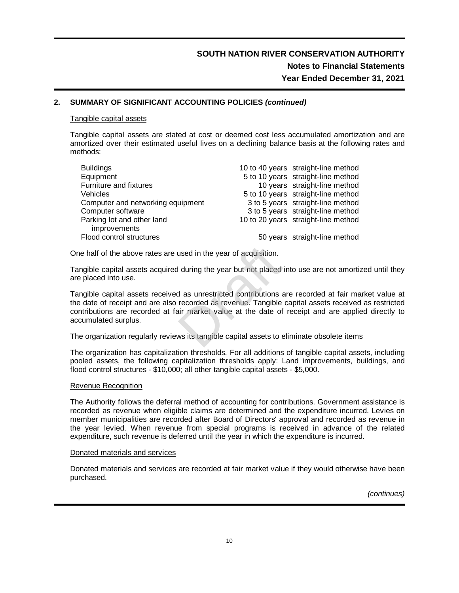#### **2. SUMMARY OF SIGNIFICANT ACCOUNTING POLICIES** *(continued)*

#### Tangible capital assets

Tangible capital assets are stated at cost or deemed cost less accumulated amortization and are amortized over their estimated useful lives on a declining balance basis at the following rates and methods:

| 10 to 40 years straight-line method |
|-------------------------------------|
| 5 to 10 years straight-line method  |
| 10 years straight-line method       |
| 5 to 10 years straight-line method  |
| 3 to 5 years straight-line method   |
| 3 to 5 years straight-line method   |
| 10 to 20 years straight-line method |
|                                     |
| 50 years straight-line method       |
|                                     |

One half of the above rates are used in the year of acquisition.

Tangible capital assets acquired during the year but not placed into use are not amortized until they are placed into use.

Tangible capital assets received as unrestricted contributions are recorded at fair market value at the date of receipt and are also recorded as revenue. Tangible capital assets received as restricted contributions are recorded at fair market value at the date of receipt and are applied directly to accumulated surplus. used in the year of acquisition.<br>
I during the year but not placed<br>
d as unrestricted contributions<br>
recorded as revenue. Tangible<br>
air market value at the date of<br>
ws its tangible capital assets to  $\epsilon$ 

The organization regularly reviews its tangible capital assets to eliminate obsolete items

The organization has capitalization thresholds. For all additions of tangible capital assets, including pooled assets, the following capitalization thresholds apply: Land improvements, buildings, and flood control structures - \$10,000; all other tangible capital assets - \$5,000.

#### Revenue Recognition

The Authority follows the deferral method of accounting for contributions. Government assistance is recorded as revenue when eligible claims are determined and the expenditure incurred. Levies on member municipalities are recorded after Board of Directors' approval and recorded as revenue in the year levied. When revenue from special programs is received in advance of the related expenditure, such revenue is deferred until the year in which the expenditure is incurred.

#### Donated materials and services

Donated materials and services are recorded at fair market value if they would otherwise have been purchased.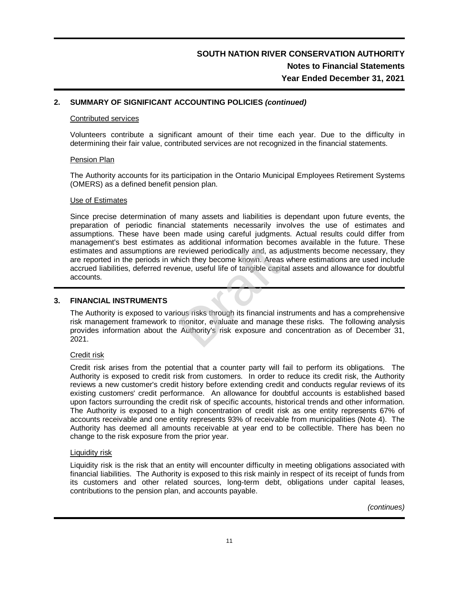#### **2. SUMMARY OF SIGNIFICANT ACCOUNTING POLICIES** *(continued)*

#### Contributed services

Volunteers contribute a significant amount of their time each year. Due to the difficulty in determining their fair value, contributed services are not recognized in the financial statements.

#### Pension Plan

The Authority accounts for its participation in the Ontario Municipal Employees Retirement Systems (OMERS) as a defined benefit pension plan.

#### Use of Estimates

Since precise determination of many assets and liabilities is dependant upon future events, the preparation of periodic financial statements necessarily involves the use of estimates and assumptions. These have been made using careful judgments. Actual results could differ from management's best estimates as additional information becomes available in the future. These estimates and assumptions are reviewed periodically and, as adjustments become necessary, they are reported in the periods in which they become known. Areas where estimations are used include accrued liabilities, deferred revenue, useful life of tangible capital assets and allowance for doubtful accounts. as additional information becomeviewed periodically and, as a hich they become known. Areas<br>sinue, useful life of tangible capit<br>ous risks through its financial in monitor, evaluate and manage<br>Authority's risk exposure and

#### **3. FINANCIAL INSTRUMENTS**

The Authority is exposed to various risks through its financial instruments and has a comprehensive risk management framework to monitor, evaluate and manage these risks. The following analysis provides information about the Authority's risk exposure and concentration as of December 31, 2021.

#### Credit risk

Credit risk arises from the potential that a counter party will fail to perform its obligations. The Authority is exposed to credit risk from customers. In order to reduce its credit risk, the Authority reviews a new customer's credit history before extending credit and conducts regular reviews of its existing customers' credit performance. An allowance for doubtful accounts is established based upon factors surrounding the credit risk of specific accounts, historical trends and other information. The Authority is exposed to a high concentration of credit risk as one entity represents 67% of accounts receivable and one entity represents 93% of receivable from municipalities (Note 4). The Authority has deemed all amounts receivable at year end to be collectible. There has been no change to the risk exposure from the prior year.

#### Liquidity risk

Liquidity risk is the risk that an entity will encounter difficulty in meeting obligations associated with financial liabilities. The Authority is exposed to this risk mainly in respect of its receipt of funds from its customers and other related sources, long-term debt, obligations under capital leases, contributions to the pension plan, and accounts payable.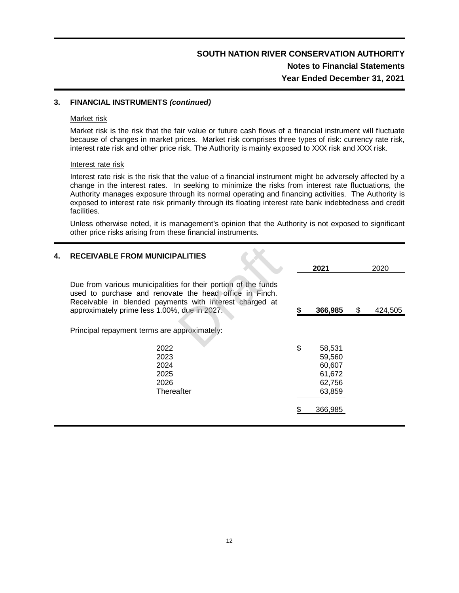## **SOUTH NATION RIVER CONSERVATION AUTHORITY Notes to Financial Statements Year Ended December 31, 2021**

#### **3. FINANCIAL INSTRUMENTS** *(continued)*

#### Market risk

Market risk is the risk that the fair value or future cash flows of a financial instrument will fluctuate because of changes in market prices. Market risk comprises three types of risk: currency rate risk, interest rate risk and other price risk. The Authority is mainly exposed to XXX risk and XXX risk.

#### Interest rate risk

Interest rate risk is the risk that the value of a financial instrument might be adversely affected by a change in the interest rates. In seeking to minimize the risks from interest rate fluctuations, the Authority manages exposure through its normal operating and financing activities. The Authority is exposed to interest rate risk primarily through its floating interest rate bank indebtedness and credit facilities.

Unless otherwise noted, it is management's opinion that the Authority is not exposed to significant other price risks arising from these financial instruments.

| 4. | <b>RECEIVABLE FROM MUNICIPALITIES</b>                                                                                                                                                                                                |                                                                |   |         |
|----|--------------------------------------------------------------------------------------------------------------------------------------------------------------------------------------------------------------------------------------|----------------------------------------------------------------|---|---------|
|    |                                                                                                                                                                                                                                      | 2021                                                           |   | 2020    |
|    | Due from various municipalities for their portion of the funds<br>used to purchase and renovate the head office in Finch.<br>Receivable in blended payments with interest charged at<br>approximately prime less 1.00%, due in 2027. | 366,985                                                        | S | 424,505 |
|    | Principal repayment terms are approximately:                                                                                                                                                                                         |                                                                |   |         |
|    | 2022<br>2023<br>2024<br>2025<br>2026<br>Thereafter                                                                                                                                                                                   | \$<br>58,531<br>59,560<br>60,607<br>61,672<br>62,756<br>63,859 |   |         |
|    |                                                                                                                                                                                                                                      | 366,985                                                        |   |         |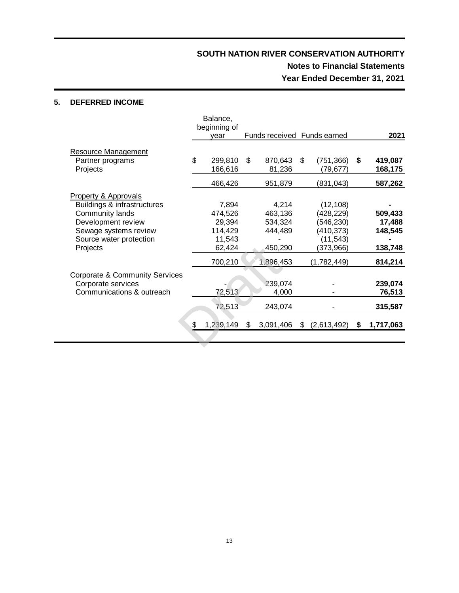## **SOUTH NATION RIVER CONSERVATION AUTHORITY Notes to Financial Statements Year Ended December 31, 2021**

#### **5. DEFERRED INCOME**

|                                           | Balance,<br>beginning of |                             |                   |    |           |
|-------------------------------------------|--------------------------|-----------------------------|-------------------|----|-----------|
|                                           | vear                     | Funds received Funds earned |                   |    | 2021      |
| Resource Management                       |                          |                             |                   |    |           |
| Partner programs                          | \$<br>299,810            | \$<br>870,643               | \$<br>(751, 366)  | S. | 419,087   |
| Projects                                  | 166,616                  | 81,236                      | (79, 677)         |    | 168,175   |
|                                           | 466,426                  | 951,879                     | (831, 043)        |    | 587,262   |
| <b>Property &amp; Approvals</b>           |                          |                             |                   |    |           |
| Buildings & infrastructures               | 7,894                    | 4,214                       | (12, 108)         |    |           |
| Community lands                           | 474,526                  | 463,136                     | (428, 229)        |    | 509,433   |
| Development review                        | 29,394                   | 534,324                     | (546, 230)        |    | 17,488    |
| Sewage systems review                     | 114,429                  | 444,489                     | (410, 373)        |    | 148,545   |
| Source water protection                   | 11,543                   |                             | (11, 543)         |    |           |
| Projects                                  | 62,424                   | 450,290                     | (373,966)         |    | 138,748   |
|                                           | 700,210                  | 1,896,453                   | (1,782,449)       |    | 814,214   |
| <b>Corporate &amp; Community Services</b> |                          |                             |                   |    |           |
| Corporate services                        |                          | 239,074                     |                   |    | 239,074   |
| Communications & outreach                 | 72,513                   | 4,000                       |                   |    | 76,513    |
|                                           | 72,513                   | 243,074                     |                   |    | 315,587   |
|                                           | \$<br>1,239,149          | \$<br>3,091,406             | \$<br>(2,613,492) | \$ | 1,717,063 |
|                                           |                          |                             |                   |    |           |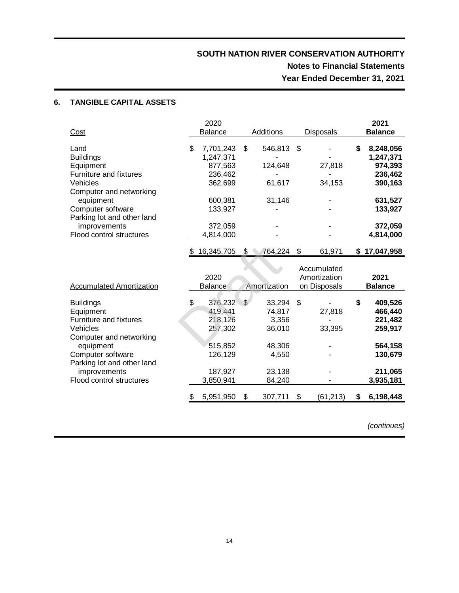### **6. TANGIBLE CAPITAL ASSETS**

|                                      |     | 2020           |     |            |                  | 2021            |
|--------------------------------------|-----|----------------|-----|------------|------------------|-----------------|
| Cost                                 |     | <b>Balance</b> |     | Additions  | <b>Disposals</b> | <b>Balance</b>  |
| Land                                 | \$  | 7,701,243      | \$  | 546,813 \$ |                  | \$<br>8,248,056 |
| <b>Buildings</b>                     |     | 1,247,371      |     |            |                  | 1,247,371       |
| Equipment                            |     | 877,563        |     | 124,648    | 27,818           | 974,393         |
| Furniture and fixtures               |     | 236,462        |     |            |                  | 236,462         |
| Vehicles                             |     | 362,699        |     | 61,617     | 34,153           | 390,163         |
| Computer and networking<br>equipment |     | 600,381        |     | 31,146     |                  | 631,527         |
| Computer software                    |     | 133,927        |     |            |                  | 133,927         |
| Parking lot and other land           |     |                |     |            |                  |                 |
| <i>improvements</i>                  |     | 372,059        |     |            |                  | 372,059         |
| Flood control structures             |     | 4,814,000      |     |            |                  | 4,814,000       |
|                                      | \$. | 16,345,705     | \$. | 764,224 \$ | 61,971           | \$17,047,958    |
|                                      |     |                |     |            | Accumulated      |                 |

|                                                                                                                                                                                                                   | S  | 16,345,705                                                                                | £. | 764,224                                                                       | - \$ | 61,971                                      |    | \$17,047,958                                                                           |
|-------------------------------------------------------------------------------------------------------------------------------------------------------------------------------------------------------------------|----|-------------------------------------------------------------------------------------------|----|-------------------------------------------------------------------------------|------|---------------------------------------------|----|----------------------------------------------------------------------------------------|
| <b>Accumulated Amortization</b>                                                                                                                                                                                   |    | 2020<br>Balance                                                                           |    | Amortization                                                                  |      | Accumulated<br>Amortization<br>on Disposals |    | 2021<br><b>Balance</b>                                                                 |
| <b>Buildings</b><br>Equipment<br>Furniture and fixtures<br><b>Vehicles</b><br>Computer and networking<br>equipment<br>Computer software<br>Parking lot and other land<br>improvements<br>Flood control structures | \$ | 376,232 \$<br>419,441<br>218,126<br>257,302<br>515,852<br>126,129<br>187,927<br>3,850,941 |    | 33,294 \$<br>74,817<br>3,356<br>36,010<br>48,306<br>4,550<br>23,138<br>84,240 |      | 27,818<br>33,395                            | \$ | 409,526<br>466,440<br>221,482<br>259,917<br>564,158<br>130,679<br>211,065<br>3,935,181 |
|                                                                                                                                                                                                                   | \$ | 5,951,950                                                                                 | \$ | 307,711                                                                       | S    | (61, 213)                                   | S  | 6,198,448                                                                              |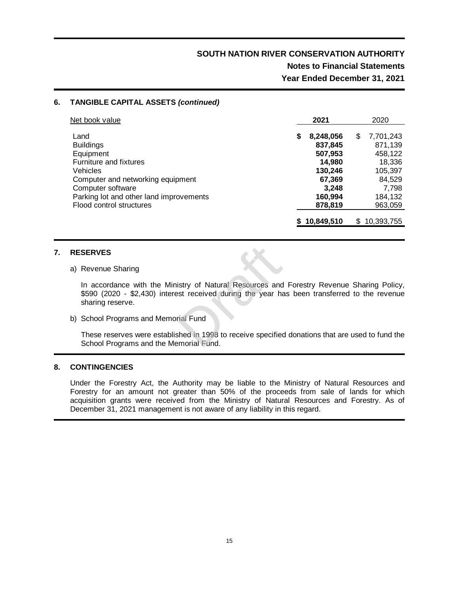### **Notes to Financial Statements Year Ended December 31, 2021**

#### **6. TANGIBLE CAPITAL ASSETS** *(continued)*

| Net book value                                                      |   | 2021                         | 2020                         |
|---------------------------------------------------------------------|---|------------------------------|------------------------------|
| Land<br><b>Buildings</b>                                            | S | 8,248,056<br>837,845         | \$<br>7,701,243<br>871,139   |
| Equipment<br>Furniture and fixtures<br>Vehicles                     |   | 507,953<br>14,980<br>130,246 | 458,122<br>18,336<br>105,397 |
| Computer and networking equipment<br>Computer software              |   | 67,369<br>3.248              | 84.529<br>7,798              |
| Parking lot and other land improvements<br>Flood control structures |   | 160,994<br>878,819           | 184,132<br>963,059           |
|                                                                     |   | 10,849,510                   | \$10,393,755                 |

#### **7. RESERVES**

#### a) Revenue Sharing

In accordance with the Ministry of Natural Resources and Forestry Revenue Sharing Policy, \$590 (2020 - \$2,430) interest received during the year has been transferred to the revenue sharing reserve. istry of Natural Resources and<br>est received during the year has<br>rial Fund<br>shed in 1998 to receive specified<br>emorial Fund.

b) School Programs and Memorial Fund

These reserves were established in 1998 to receive specified donations that are used to fund the School Programs and the Memorial Fund.

#### **8. CONTINGENCIES**

Under the Forestry Act, the Authority may be liable to the Ministry of Natural Resources and Forestry for an amount not greater than 50% of the proceeds from sale of lands for which acquisition grants were received from the Ministry of Natural Resources and Forestry. As of December 31, 2021 management is not aware of any liability in this regard.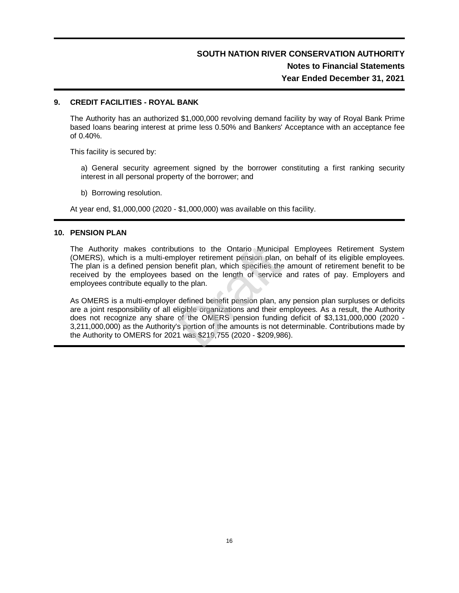## **SOUTH NATION RIVER CONSERVATION AUTHORITY Notes to Financial Statements Year Ended December 31, 2021**

#### **9. CREDIT FACILITIES - ROYAL BANK**

The Authority has an authorized \$1,000,000 revolving demand facility by way of Royal Bank Prime based loans bearing interest at prime less 0.50% and Bankers' Acceptance with an acceptance fee of 0.40%.

This facility is secured by:

a) General security agreement signed by the borrower constituting a first ranking security interest in all personal property of the borrower; and

b) Borrowing resolution.

At year end, \$1,000,000 (2020 - \$1,000,000) was available on this facility.

#### **10. PENSION PLAN**

The Authority makes contributions to the Ontario Municipal Employees Retirement System (OMERS), which is a multi-employer retirement pension plan, on behalf of its eligible employees. The plan is a defined pension benefit plan, which specifies the amount of retirement benefit to be received by the employees based on the length of service and rates of pay. Employers and employees contribute equally to the plan. tions to the Ontario Municip<br>ployer retirement pension plan,<br>penefit plan, which specifies the<br>ased on the length of service<br>the plan.<br>defined benefit pension plan, a<br>ligible organizations and their e<br>of the OMERS pension

As OMERS is a multi-employer defined benefit pension plan, any pension plan surpluses or deficits are a joint responsibility of all eligible organizations and their employees. As a result, the Authority does not recognize any share of the OMERS pension funding deficit of \$3,131,000,000 (2020 - 3,211,000,000) as the Authority's portion of the amounts is not determinable. Contributions made by the Authority to OMERS for 2021 was \$219,755 (2020 - \$209,986).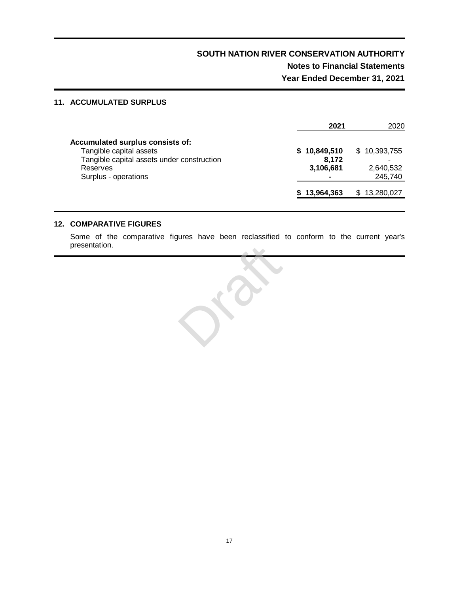## **SOUTH NATION RIVER CONSERVATION AUTHORITY Notes to Financial Statements Year Ended December 31, 2021**

#### **11. ACCUMULATED SURPLUS**

|                                            | 2021         | 2020            |
|--------------------------------------------|--------------|-----------------|
| Accumulated surplus consists of:           |              |                 |
| Tangible capital assets                    | \$10,849,510 | \$10,393,755    |
| Tangible capital assets under construction | 8.172        |                 |
| Reserves                                   | 3,106,681    | 2,640,532       |
| Surplus - operations                       |              | 245,740         |
|                                            | 13,964,363   | 13,280,027<br>S |
|                                            |              |                 |

#### **12. COMPARATIVE FIGURES**

Some of the comparative figures have been reclassified to conform to the current year's presentation.

Draft Com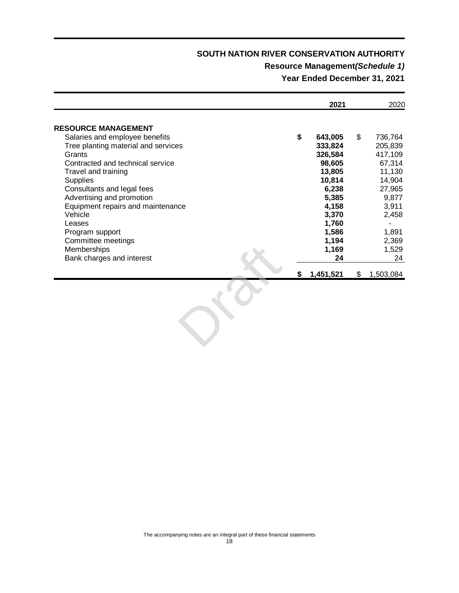### **Resource Management***(Schedule 1)*

**Year Ended December 31, 2021**

|                                     |  |    | 2021      |     | 2020      |  |
|-------------------------------------|--|----|-----------|-----|-----------|--|
| <b>RESOURCE MANAGEMENT</b>          |  |    |           |     |           |  |
| Salaries and employee benefits      |  | \$ | 643,005   | \$. | 736,764   |  |
| Tree planting material and services |  |    | 333,824   |     | 205,839   |  |
| Grants                              |  |    | 326,584   |     | 417,109   |  |
| Contracted and technical service    |  |    | 98,605    |     | 67,314    |  |
| Travel and training                 |  |    | 13,805    |     | 11,130    |  |
| <b>Supplies</b>                     |  |    | 10,814    |     | 14,904    |  |
| Consultants and legal fees          |  |    | 6,238     |     | 27,965    |  |
| Advertising and promotion           |  |    | 5,385     |     | 9,877     |  |
| Equipment repairs and maintenance   |  |    | 4,158     |     | 3,911     |  |
| Vehicle                             |  |    | 3,370     |     | 2,458     |  |
| Leases                              |  |    | 1,760     |     |           |  |
| Program support                     |  |    | 1,586     |     | 1,891     |  |
| Committee meetings                  |  |    | 1,194     |     | 2,369     |  |
| <b>Memberships</b>                  |  |    | 1,169     |     | 1,529     |  |
| Bank charges and interest           |  |    | 24        |     | 24        |  |
|                                     |  |    | 1,451,521 | S   | 1,503,084 |  |

OKO.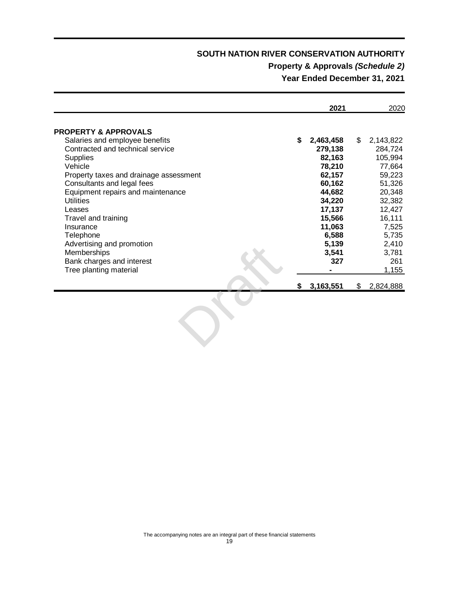## **Property & Approvals** *(Schedule 2)*

**Year Ended December 31, 2021**

|                                        |   | 2021      |    | 2020      |
|----------------------------------------|---|-----------|----|-----------|
| <b>PROPERTY &amp; APPROVALS</b>        |   |           |    |           |
| Salaries and employee benefits         | S | 2,463,458 | \$ | 2,143,822 |
| Contracted and technical service       |   | 279,138   |    | 284,724   |
| <b>Supplies</b>                        |   | 82,163    |    | 105,994   |
| Vehicle                                |   | 78,210    |    | 77,664    |
| Property taxes and drainage assessment |   | 62,157    |    | 59,223    |
| Consultants and legal fees             |   | 60,162    |    | 51,326    |
| Equipment repairs and maintenance      |   | 44,682    |    | 20,348    |
| <b>Utilities</b>                       |   | 34,220    |    | 32,382    |
| Leases                                 |   | 17,137    |    | 12,427    |
| Travel and training                    |   | 15,566    |    | 16,111    |
| Insurance                              |   | 11,063    |    | 7,525     |
| Telephone                              |   | 6,588     |    | 5,735     |
| Advertising and promotion              |   | 5,139     |    | 2,410     |
| Memberships                            |   | 3,541     |    | 3,781     |
| Bank charges and interest              |   | 327       |    | 261       |
| Tree planting material                 |   |           |    | 1,155     |
|                                        | S | 3,163,551 | S  | 2,824,888 |

Or.